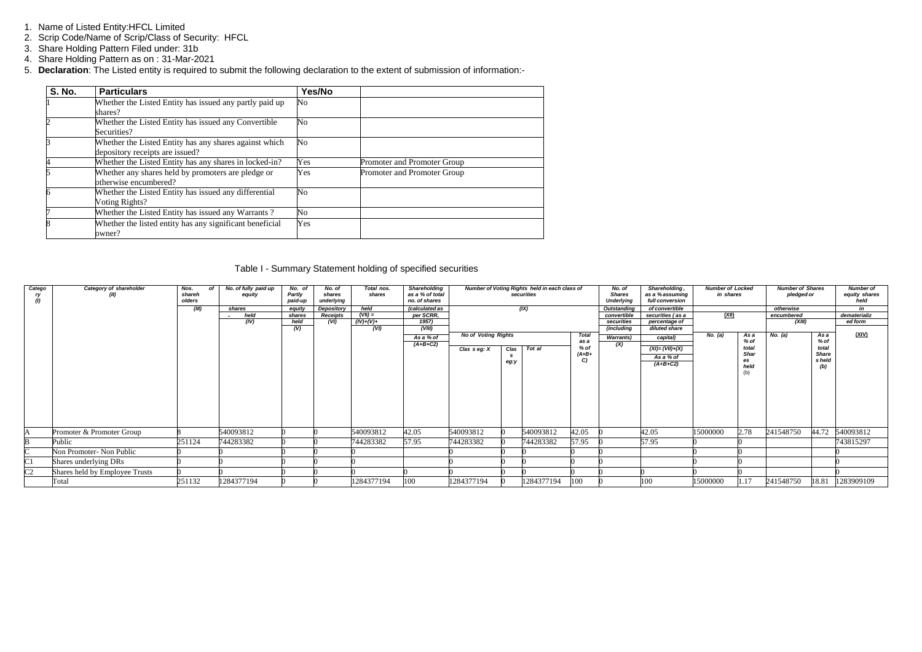- 1. Name of Listed Entity:HFCL Limited
- 2. Scrip Code/Name of Scrip/Class of Security: HFCL
- 3. Share Holding Pattern Filed under: 31b
- 4. Share Holding Pattern as on : 31-Mar-2021
- 5. **Declaration**: The Listed entity is required to submit the following declaration to the extent of submission of information:-

| <b>S. No.</b>  | <b>Particulars</b>                                                                        | Yes/No |                             |
|----------------|-------------------------------------------------------------------------------------------|--------|-----------------------------|
|                | Whether the Listed Entity has issued any partly paid up<br>shares?                        | No     |                             |
| $\overline{c}$ | Whether the Listed Entity has issued any Convertible<br>Securities?                       | No     |                             |
|                | Whether the Listed Entity has any shares against which<br>depository receipts are issued? | No     |                             |
| 4              | Whether the Listed Entity has any shares in locked-in?                                    | Yes    | Promoter and Promoter Group |
|                | Whether any shares held by promoters are pledge or<br>otherwise encumbered?               | Yes    | Promoter and Promoter Group |
| 6              | Whether the Listed Entity has issued any differential<br>Voting Rights?                   | No     |                             |
|                | Whether the Listed Entity has issued any Warrants?                                        | No     |                             |
|                | Whether the listed entity has any significant beneficial<br>owner?                        | Yes    |                             |

### Table I - Summary Statement holding of specified securities

| Catego<br>ry<br>$\ddot{v}$ | Category of shareholder<br>(II) | Nos.<br>shareh<br>olders<br>(III) | No. of fully paid up<br>of<br>equity<br>shares | No. of<br>Partly<br>paid-up<br>equity | No. of<br>shares<br>underlying<br>Depository | Total nos.<br>shares<br>held | Shareholding<br>as a % of total<br>no. of shares<br>(calculated as | Number of Voting Rights held in each class of<br>securities<br>(IX) |                    |            | No. of<br><b>Shares</b><br><b>Underlying</b><br><b>Outstanding</b> | Shareholding,<br>as a % assuming<br>full conversion<br>of convertible | <b>Number of Locked</b><br>in shares          |              | <b>Number of Shares</b><br>pledged or<br>otherwise |            | <b>Number of</b><br>equity shares<br>held<br>in |              |
|----------------------------|---------------------------------|-----------------------------------|------------------------------------------------|---------------------------------------|----------------------------------------------|------------------------------|--------------------------------------------------------------------|---------------------------------------------------------------------|--------------------|------------|--------------------------------------------------------------------|-----------------------------------------------------------------------|-----------------------------------------------|--------------|----------------------------------------------------|------------|-------------------------------------------------|--------------|
|                            |                                 |                                   | held                                           | shares                                | <b>Receipts</b>                              | $(VII) =$                    | per SCRR,                                                          |                                                                     |                    |            |                                                                    | convertible                                                           | securities (as a                              | <u>(XII)</u> |                                                    | encumbered |                                                 | dematerializ |
|                            |                                 |                                   | (IV)                                           | held                                  | (VI)                                         | $(IV)+(V)+$                  | 1957)                                                              |                                                                     |                    |            |                                                                    | securities                                                            | percentage of                                 |              |                                                    | (XIII)     |                                                 | ed form      |
|                            |                                 |                                   |                                                | (V)                                   |                                              | (VI)                         | (VIII)                                                             |                                                                     |                    |            |                                                                    | (including                                                            | diluted share                                 |              |                                                    |            |                                                 |              |
|                            |                                 |                                   |                                                |                                       |                                              |                              | As a % of                                                          | <b>No of Voting Rights</b>                                          |                    |            | Total<br>as a                                                      | <b>Warrants)</b>                                                      | capital)                                      | No. (a)      | As a<br>% of                                       | No. (a)    | As a<br>$%$ of                                  | (XIV)        |
|                            |                                 |                                   |                                                |                                       |                                              |                              | $(A+B+C2)$                                                         | Clas seg: X                                                         | Clas<br>-S<br>eg:y | Tot al     | $%$ of<br>$(A+B+$<br>C)                                            | (X)                                                                   | $(XI) = (VII)+(X)$<br>As a % of<br>$(A+B+C2)$ |              | total<br><b>Shar</b><br>es<br>held<br>(b)          |            | total<br><b>Share</b><br>s held<br>(b)          |              |
|                            | Promoter & Promoter Group       |                                   | 540093812                                      |                                       |                                              | 540093812                    | 42.05                                                              | 540093812                                                           |                    | 540093812  | 42.05                                                              |                                                                       | 42.05                                         | 15000000     | 2.78                                               | 241548750  | 44.72                                           | 540093812    |
|                            | Public                          | 251124                            | 744283382                                      |                                       |                                              | 744283382                    | 57.95                                                              | 744283382                                                           |                    | 744283382  | 57.95                                                              |                                                                       | 57.95                                         |              |                                                    |            |                                                 | 743815297    |
|                            | Non Promoter- Non Public        |                                   |                                                |                                       |                                              |                              |                                                                    |                                                                     |                    |            |                                                                    |                                                                       |                                               |              |                                                    |            |                                                 |              |
| C1                         | Shares underlying DRs           |                                   |                                                |                                       |                                              |                              |                                                                    |                                                                     |                    |            |                                                                    |                                                                       |                                               |              |                                                    |            |                                                 |              |
| C <sub>2</sub>             | Shares held by Employee Trusts  |                                   |                                                |                                       |                                              |                              |                                                                    |                                                                     |                    |            |                                                                    |                                                                       |                                               |              |                                                    |            |                                                 |              |
|                            | Total                           | 251132                            | 1284377194                                     |                                       |                                              | 284377194                    | 100                                                                | 1284377194                                                          |                    | 1284377194 | 100                                                                |                                                                       | 100                                           | 15000000     | 1.17                                               | 241548750  | 18.81                                           | 1283909109   |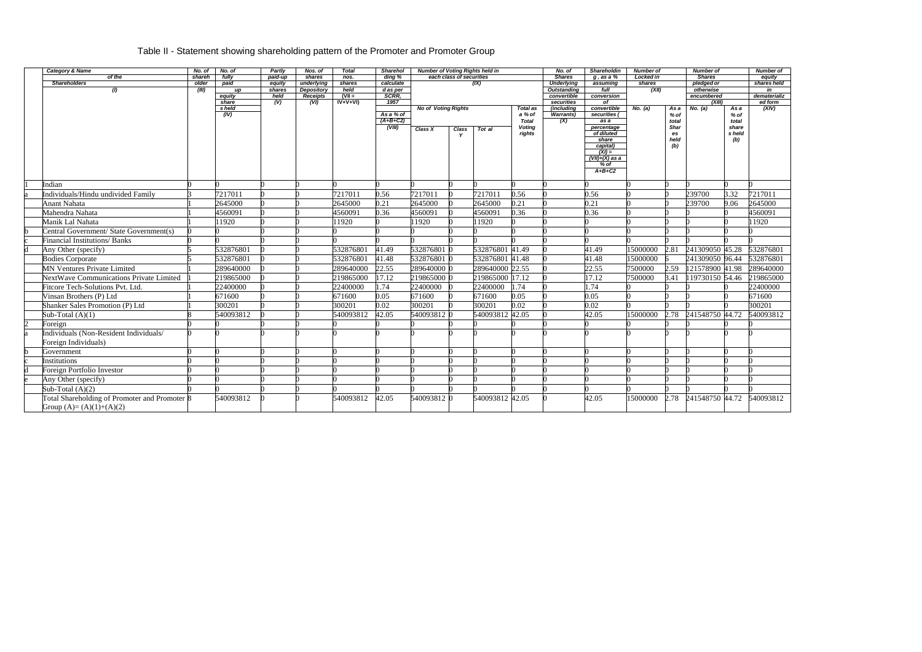# Table II - Statement showing shareholding pattern of the Promoter and Promoter Group

| <b>Category &amp; Name</b>                    | No. of         | No. of     | <b>Partly</b>    | Nos. of                  | Total          | <b>Sharehol</b>         | <b>Number of Voting Rights held in</b> |                          |                 |                                         | No. of                      | <b>Shareholdin</b>           | <b>Number of</b> |                         | Number of       |                   | <b>Number of</b> |
|-----------------------------------------------|----------------|------------|------------------|--------------------------|----------------|-------------------------|----------------------------------------|--------------------------|-----------------|-----------------------------------------|-----------------------------|------------------------------|------------------|-------------------------|-----------------|-------------------|------------------|
| of the                                        | shareh         | fully      | paid-up          | shares                   | nos.           | ding %                  |                                        | each class of securities |                 |                                         | <b>Shares</b>               | $g$ , as a $%$               | Locked in        |                         | <b>Shares</b>   |                   | equity           |
| <b>Shareholders</b><br>$\left( l\right)$      | older<br>(III) | paid<br>up | equity<br>shares | underlying<br>Depository | shares<br>held | calculate<br>d as per   |                                        | (IX)                     |                 | <b>Underlying</b><br><b>Outstanding</b> | shares<br>assuming<br>(XII) |                              |                  | pledged or<br>otherwise |                 | shares held<br>in |                  |
|                                               |                | equity     | held             | Receipts                 | $(VII =$       | SCRR.                   |                                        |                          |                 | convertible                             | full<br>conversion          |                              |                  | encumbered              |                 | dematerializ      |                  |
|                                               |                | share      | (V)              | (VI)                     | $IV+V+VI$      | 1957                    |                                        |                          |                 |                                         | securities                  | of                           |                  |                         | (XIII)          |                   | ed form          |
|                                               |                | s held     |                  |                          |                |                         | <b>No of Voting Rights</b>             |                          |                 | <b>Total as</b>                         | (including                  | convertible                  | No. (a)          | As a                    | No. (a)         | As a              | (XIV)            |
|                                               |                | (IV)       |                  |                          |                | As a % of<br>$(A+B+C2)$ |                                        |                          |                 | a % of                                  | Warrants)                   | securities (                 |                  | % of                    |                 | % of              |                  |
|                                               |                |            |                  |                          |                | (VIII)                  |                                        |                          |                 | <b>Total</b><br><b>Voting</b>           | (X)                         | as a<br>percentage           |                  | total<br>Shar           |                 | total<br>share    |                  |
|                                               |                |            |                  |                          |                |                         | Class X                                | Class                    | Tot al          | rights                                  |                             | of diluted                   |                  | es                      |                 | s held            |                  |
|                                               |                |            |                  |                          |                |                         |                                        |                          |                 |                                         |                             | share                        |                  | held                    |                 | (b)               |                  |
|                                               |                |            |                  |                          |                |                         |                                        |                          |                 |                                         |                             | capital)                     |                  | (b)                     |                 |                   |                  |
|                                               |                |            |                  |                          |                |                         |                                        |                          |                 |                                         |                             | $(XI) =$<br>$(VII)+(X)$ as a |                  |                         |                 |                   |                  |
|                                               |                |            |                  |                          |                |                         |                                        |                          |                 |                                         |                             | $%$ of                       |                  |                         |                 |                   |                  |
|                                               |                |            |                  |                          |                |                         |                                        |                          |                 |                                         |                             | $A+B+C2$                     |                  |                         |                 |                   |                  |
| Indian                                        |                |            |                  |                          |                |                         |                                        |                          |                 |                                         |                             |                              |                  |                         |                 |                   |                  |
| Individuals/Hindu undivided Family            |                | 7217011    |                  |                          | 7217011        | 0.56                    | 7217011                                |                          | 7217011         | 0.56                                    |                             | 0.56                         |                  |                         | 239700          | 3.32              | 7217011          |
| <b>Anant Nahata</b>                           |                | 2645000    |                  |                          | 2645000        | 0.21                    | 2645000                                |                          | 2645000         | 0.21                                    |                             | 0.21                         |                  |                         | 239700          | 9.06              | 2645000          |
| Mahendra Nahata                               |                | 4560091    |                  |                          | 4560091        | 0.36                    | 4560091                                |                          | 4560091         | 0.36                                    |                             | 0.36                         |                  |                         |                 |                   | 4560091          |
|                                               |                | 11920      |                  |                          | 11920          |                         |                                        |                          |                 |                                         |                             |                              |                  |                         |                 |                   | 11920            |
| Manik Lal Nahata                              |                |            |                  |                          |                |                         | 11920                                  |                          | 11920           |                                         |                             |                              |                  |                         |                 |                   |                  |
| Central Government/ State Government(s)       |                |            |                  |                          |                |                         |                                        |                          |                 |                                         |                             |                              |                  |                         |                 |                   |                  |
| <b>Financial Institutions/Banks</b>           |                |            |                  |                          |                |                         |                                        |                          |                 |                                         |                             |                              |                  |                         |                 |                   |                  |
| Any Other (specify)                           |                | 532876801  |                  |                          | 532876801      | 41.49                   | 532876801 0                            |                          | 532876801 41.49 |                                         |                             | 41.49                        | 15000000         | 2.81                    | 241309050 45.28 |                   | 532876801        |
| <b>Bodies Corporate</b>                       |                | 532876801  |                  |                          | 532876801      | 41.48                   | 532876801 0                            |                          | 532876801 41.48 |                                         |                             | 41.48                        | 15000000         |                         | 241309050 96.44 |                   | 532876801        |
| <b>MN Ventures Private Limited</b>            |                | 289640000  |                  |                          | 289640000      | 22.55                   | 289640000 0                            |                          | 289640000 22.55 |                                         |                             | 22.55                        | 7500000          | 2.59                    | 121578900 41.98 |                   | 289640000        |
| NextWave Communications Private Limited       |                | 219865000  |                  |                          | 219865000      | 17.12                   | 219865000 0                            |                          | 219865000 17.12 |                                         |                             | 17.12                        | 7500000          | 3.41                    | 119730150 54.46 |                   | 219865000        |
| Fitcore Tech-Solutions Pvt. Ltd.              |                | 22400000   |                  |                          | 22400000       | 1.74                    | 22400000                               |                          | 22400000        | 1.74                                    |                             | 1.74                         |                  |                         |                 |                   | 22400000         |
| Vinsan Brothers (P) Ltd                       |                | 671600     |                  |                          | 671600         | 0.05                    | 671600                                 |                          | 671600          | 0.05                                    |                             | 0.05                         |                  |                         |                 |                   | 671600           |
| <b>Shanker Sales Promotion (P) Ltd</b>        |                | 300201     |                  |                          | 300201         | 0.02                    | 300201                                 |                          | 300201          | $\overline{0.02}$                       |                             | $\overline{0.02}$            |                  |                         |                 |                   | 300201           |
| Sub-Total $(A)(1)$                            |                | 540093812  |                  |                          | 540093812      | 42.05                   | 540093812 0                            |                          | 540093812 42.05 |                                         |                             | $\overline{42.05}$           | 15000000         | 2.78                    | 241548750 44.72 |                   | 540093812        |
| Foreign                                       |                |            |                  |                          |                |                         |                                        |                          |                 |                                         |                             |                              |                  |                         |                 |                   |                  |
| Individuals (Non-Resident Individuals/        |                |            |                  |                          |                |                         |                                        |                          |                 |                                         |                             |                              |                  |                         |                 |                   |                  |
| Foreign Individuals)                          |                |            |                  |                          |                |                         |                                        |                          |                 |                                         |                             |                              |                  |                         |                 |                   |                  |
| Government                                    |                |            |                  |                          |                |                         |                                        |                          |                 |                                         |                             |                              |                  |                         |                 |                   |                  |
| Institutions                                  |                |            |                  |                          |                |                         |                                        |                          |                 |                                         |                             |                              |                  |                         |                 |                   |                  |
| Foreign Portfolio Investor                    |                |            |                  |                          |                |                         |                                        |                          |                 |                                         |                             |                              |                  |                         |                 |                   |                  |
| Any Other (specify)                           |                |            |                  |                          |                |                         |                                        |                          |                 |                                         |                             |                              |                  |                         |                 |                   |                  |
| Sub-Total $(A)(2)$                            |                |            |                  |                          |                |                         |                                        |                          |                 |                                         |                             |                              |                  |                         |                 |                   |                  |
| Total Shareholding of Promoter and Promoter 8 |                | 540093812  |                  |                          | 540093812      | 42.05                   | 540093812 0                            |                          | 540093812 42.05 |                                         |                             | 42.05                        | 15000000         | 2.78                    | 241548750 44.72 |                   | 540093812        |
| Group $(A)=(A)(1)+(A)(2)$                     |                |            |                  |                          |                |                         |                                        |                          |                 |                                         |                             |                              |                  |                         |                 |                   |                  |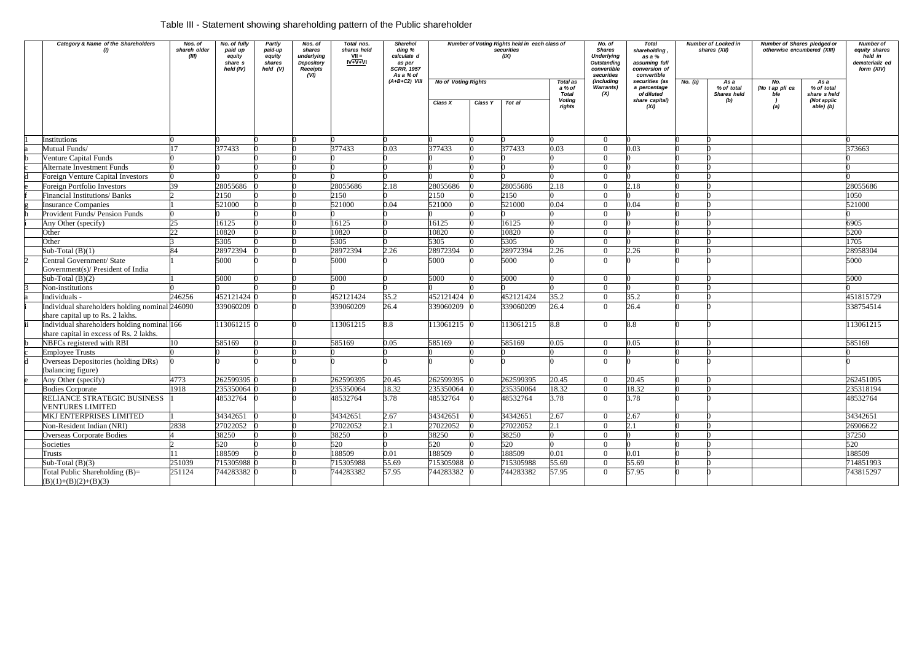# Table III - Statement showing shareholding pattern of the Public shareholder

| Category & Name of the Shareholders                                                    | Nos. of<br>shareh older<br>(III) | No. of fully<br>paid up<br>equity<br>share s<br>held (IV) | Partly<br>paid-up<br>equity<br>shares<br>held $(V)$ | Nos. of<br>shares<br>underlying<br>Depository<br><b>Receipts</b><br>(VI) | Total nos.<br>shares held<br>$VII =$<br>$IV+V+VI$ | Sharehol<br>ding %<br>calculate d<br>as per<br><b>SCRR, 1957</b><br>As a % of |                            |         | Number of Voting Rights held in each class of<br>securities<br>(IX) |                                           | No. of<br><b>Shares</b><br><b>Underlying</b><br>Outstanding<br>convertible<br>securities | <b>Total</b><br>shareholding,<br>as a %<br>assuming full<br>conversion of<br>convertible |         | Number of Locked in<br>shares (XII) | <b>Number of Shares pledged or</b><br>otherwise encumbered (XIII) |                                   | <b>Number of</b><br>equity shares<br>held in<br>dematerializ ed<br>form (XIV) |  |
|----------------------------------------------------------------------------------------|----------------------------------|-----------------------------------------------------------|-----------------------------------------------------|--------------------------------------------------------------------------|---------------------------------------------------|-------------------------------------------------------------------------------|----------------------------|---------|---------------------------------------------------------------------|-------------------------------------------|------------------------------------------------------------------------------------------|------------------------------------------------------------------------------------------|---------|-------------------------------------|-------------------------------------------------------------------|-----------------------------------|-------------------------------------------------------------------------------|--|
|                                                                                        |                                  |                                                           |                                                     |                                                                          |                                                   | $(A+B+C2)$ VIII                                                               | <b>No of Voting Rights</b> |         |                                                                     | <b>Total as</b><br>a % of<br><b>Total</b> | (including<br><b>Warrants</b> )<br>(X)                                                   | securities (as<br>a percentage<br>of diluted                                             | No. (a) | As a<br>% of total<br>Shares held   | No.<br>(No tap pli ca<br>ble                                      | As a<br>% of total<br>share sheld |                                                                               |  |
|                                                                                        |                                  |                                                           |                                                     |                                                                          |                                                   |                                                                               | Class X                    | Class Y | Tot al                                                              | <b>Voting</b><br>rights                   |                                                                                          | share capital)<br>(XI)                                                                   |         | (b)                                 | (a)                                                               | (Not applic<br>able) (b)          |                                                                               |  |
| Institutions                                                                           |                                  |                                                           |                                                     |                                                                          |                                                   |                                                                               |                            |         |                                                                     |                                           | $\Omega$                                                                                 |                                                                                          |         |                                     |                                                                   |                                   |                                                                               |  |
| Mutual Funds/                                                                          |                                  | 377433                                                    |                                                     |                                                                          | 377433                                            | 0.03                                                                          | 377433                     |         | 377433                                                              | 0.03                                      | $\Omega$                                                                                 | 0.03                                                                                     |         |                                     |                                                                   |                                   | 373663                                                                        |  |
| Venture Capital Funds                                                                  |                                  |                                                           |                                                     |                                                                          |                                                   |                                                                               |                            |         |                                                                     |                                           |                                                                                          |                                                                                          |         |                                     |                                                                   |                                   |                                                                               |  |
| <b>Alternate Investment Funds</b>                                                      |                                  |                                                           |                                                     |                                                                          |                                                   |                                                                               |                            |         |                                                                     |                                           | $\Omega$                                                                                 |                                                                                          |         |                                     |                                                                   |                                   |                                                                               |  |
| Foreign Venture Capital Investors                                                      |                                  |                                                           |                                                     |                                                                          |                                                   |                                                                               |                            |         |                                                                     |                                           | $\Omega$                                                                                 |                                                                                          |         |                                     |                                                                   |                                   |                                                                               |  |
| Foreign Portfolio Investors                                                            | 39.                              | 28055686                                                  |                                                     |                                                                          | 28055686                                          | 2.18                                                                          | 28055686                   |         | 28055686                                                            | 2.18                                      | $\Omega$                                                                                 | 2.18                                                                                     |         |                                     |                                                                   |                                   | 28055686                                                                      |  |
| <b>Financial Institutions/ Banks</b>                                                   |                                  | 2150                                                      |                                                     |                                                                          | 2150                                              |                                                                               | 2150                       |         | 2150                                                                |                                           |                                                                                          |                                                                                          |         |                                     |                                                                   |                                   | 1050                                                                          |  |
| <b>Insurance Companies</b>                                                             |                                  | 521000                                                    |                                                     |                                                                          | 521000                                            | 0.04                                                                          | 521000                     |         | 521000                                                              | 0.04                                      |                                                                                          | 0.04                                                                                     |         |                                     |                                                                   |                                   | 521000                                                                        |  |
| Provident Funds/ Pension Funds                                                         |                                  |                                                           |                                                     |                                                                          |                                                   |                                                                               |                            |         |                                                                     |                                           |                                                                                          |                                                                                          |         |                                     |                                                                   |                                   |                                                                               |  |
| Any Other (specify)                                                                    | 25                               | 16125                                                     |                                                     |                                                                          | 16125                                             |                                                                               | 16125                      |         | 16125                                                               |                                           |                                                                                          |                                                                                          |         |                                     |                                                                   |                                   | 6905                                                                          |  |
| Other                                                                                  | 22                               | 10820                                                     |                                                     |                                                                          | 10820                                             |                                                                               | 10820                      |         | 10820                                                               |                                           | ∩                                                                                        |                                                                                          |         |                                     |                                                                   |                                   | 5200                                                                          |  |
| Other                                                                                  |                                  | 5305                                                      |                                                     |                                                                          | 5305                                              |                                                                               | 5305                       |         | 5305                                                                |                                           | $\Omega$                                                                                 |                                                                                          |         |                                     |                                                                   |                                   | 1705                                                                          |  |
| Sub-Total $(B)(1)$                                                                     |                                  | 28972394                                                  |                                                     |                                                                          | 28972394                                          | 2.26                                                                          | 28972394                   |         | 28972394                                                            | 2.26                                      |                                                                                          | 2.26                                                                                     |         |                                     |                                                                   |                                   | 28958304                                                                      |  |
| Central Government/ State<br>Government(s)/ President of India                         |                                  | 5000                                                      |                                                     |                                                                          | 5000                                              |                                                                               | 5000                       |         | 5000                                                                |                                           | $\Omega$                                                                                 |                                                                                          |         |                                     |                                                                   |                                   | 5000                                                                          |  |
| Sub-Total $(B)(2)$                                                                     |                                  | 5000                                                      |                                                     |                                                                          | 5000                                              |                                                                               | 5000                       |         | 5000                                                                |                                           | $\Omega$                                                                                 |                                                                                          |         |                                     |                                                                   |                                   | 5000                                                                          |  |
| Non-institutions                                                                       |                                  |                                                           |                                                     |                                                                          |                                                   |                                                                               |                            |         |                                                                     |                                           | $\Omega$                                                                                 |                                                                                          |         |                                     |                                                                   |                                   |                                                                               |  |
| Individuals -                                                                          | 246256                           | 452121424                                                 |                                                     |                                                                          | 452121424                                         | 35.2                                                                          | 452121424                  |         | 452121424                                                           | 35.2                                      |                                                                                          | 35.2                                                                                     |         |                                     |                                                                   |                                   | 451815729                                                                     |  |
| Individual shareholders holding nominal 246090<br>share capital up to Rs. 2 lakhs.     |                                  | 339060209 0                                               |                                                     |                                                                          | 339060209                                         | 26.4                                                                          | 339060209                  |         | 339060209                                                           | 26.4                                      | $\Omega$                                                                                 | 26.4                                                                                     |         |                                     |                                                                   |                                   | 338754514                                                                     |  |
| Individual shareholders holding nominal 166<br>share capital in excess of Rs. 2 lakhs. |                                  | 113061215 0                                               |                                                     |                                                                          | 113061215                                         | 8.8                                                                           | 113061215 0                |         | 113061215                                                           | 8.8                                       | $\Omega$                                                                                 | 8.8                                                                                      |         |                                     |                                                                   |                                   | 113061215                                                                     |  |
| NBFCs registered with RBI                                                              | 10                               | 585169                                                    |                                                     |                                                                          | 585169                                            | 0.05                                                                          | 585169                     |         | 585169                                                              | 0.05                                      |                                                                                          | 0.05                                                                                     |         |                                     |                                                                   |                                   | 585169                                                                        |  |
| <b>Employee Trusts</b>                                                                 |                                  |                                                           |                                                     |                                                                          |                                                   |                                                                               |                            |         |                                                                     |                                           | $\Omega$                                                                                 |                                                                                          |         |                                     |                                                                   |                                   |                                                                               |  |
| Overseas Depositories (holding DRs)<br>(balancing figure)                              |                                  |                                                           |                                                     |                                                                          |                                                   |                                                                               |                            |         |                                                                     |                                           | $\Omega$                                                                                 |                                                                                          |         |                                     |                                                                   |                                   |                                                                               |  |
| Any Other (specify)                                                                    | 4773                             | 262599395 0                                               |                                                     |                                                                          | 262599395                                         | 20.45                                                                         | 262599395 0                |         | 262599395                                                           | 20.45                                     | $\Omega$                                                                                 | 20.45                                                                                    |         |                                     |                                                                   |                                   | 262451095                                                                     |  |
| <b>Bodies Corporate</b>                                                                | 1918                             | 235350064 0                                               |                                                     |                                                                          | 235350064                                         | 18.32                                                                         | 235350064 0                |         | 235350064                                                           | 18.32                                     |                                                                                          | 18.32                                                                                    |         |                                     |                                                                   |                                   | 235318194                                                                     |  |
| RELIANCE STRATEGIC BUSINESS<br><b>VENTURES LIMITED</b>                                 |                                  | 48532764                                                  |                                                     |                                                                          | 48532764                                          | 3.78                                                                          | 48532764                   |         | 48532764                                                            | 3.78                                      | $\Omega$                                                                                 | 3.78                                                                                     |         |                                     |                                                                   |                                   | 48532764                                                                      |  |
| MKJ ENTERPRISES LIMITED                                                                |                                  | 34342651                                                  |                                                     |                                                                          | 34342651                                          | 2.67                                                                          | 34342651                   |         | 34342651                                                            | 2.67                                      | $\Omega$                                                                                 | 2.67                                                                                     |         |                                     |                                                                   |                                   | 34342651                                                                      |  |
| Non-Resident Indian (NRI)                                                              | 2838                             | 27022052                                                  |                                                     |                                                                          | 27022052                                          | 2.1                                                                           | 27022052                   |         | 27022052                                                            | 2.1                                       | $\Omega$                                                                                 | 2.1                                                                                      |         |                                     |                                                                   |                                   | 26906622                                                                      |  |
| <b>Overseas Corporate Bodies</b>                                                       |                                  | 38250                                                     |                                                     |                                                                          | 38250                                             |                                                                               | 38250                      |         | 38250                                                               |                                           | $\Omega$                                                                                 |                                                                                          |         |                                     |                                                                   |                                   | 37250                                                                         |  |
| Societies                                                                              |                                  | 520                                                       |                                                     |                                                                          | 520                                               |                                                                               | 520                        |         | 520                                                                 |                                           | $\Omega$                                                                                 |                                                                                          |         |                                     |                                                                   |                                   | 520                                                                           |  |
| Trusts                                                                                 |                                  | 188509                                                    |                                                     |                                                                          | 188509                                            | 0.01                                                                          | 188509                     |         | 188509                                                              | 0.01                                      | $\Omega$                                                                                 | 0.01                                                                                     |         |                                     |                                                                   |                                   | 188509                                                                        |  |
| Sub-Total $(B)(3)$                                                                     | 251039                           | 715305988 0                                               |                                                     |                                                                          | 715305988                                         | 55.69                                                                         | 715305988 0                |         | 715305988                                                           | 55.69                                     | $\Omega$                                                                                 | 55.69                                                                                    |         |                                     |                                                                   |                                   | 714851993                                                                     |  |
| Total Public Shareholding $(B)=$<br>$(B)(1)+(B)(2)+(B)(3)$                             | 251124                           | 744283382 0                                               |                                                     |                                                                          | 744283382                                         | 57.95                                                                         | 744283382 0                |         | 744283382                                                           | 57.95                                     | $\overline{0}$                                                                           | 57.95                                                                                    |         |                                     |                                                                   |                                   | 743815297                                                                     |  |